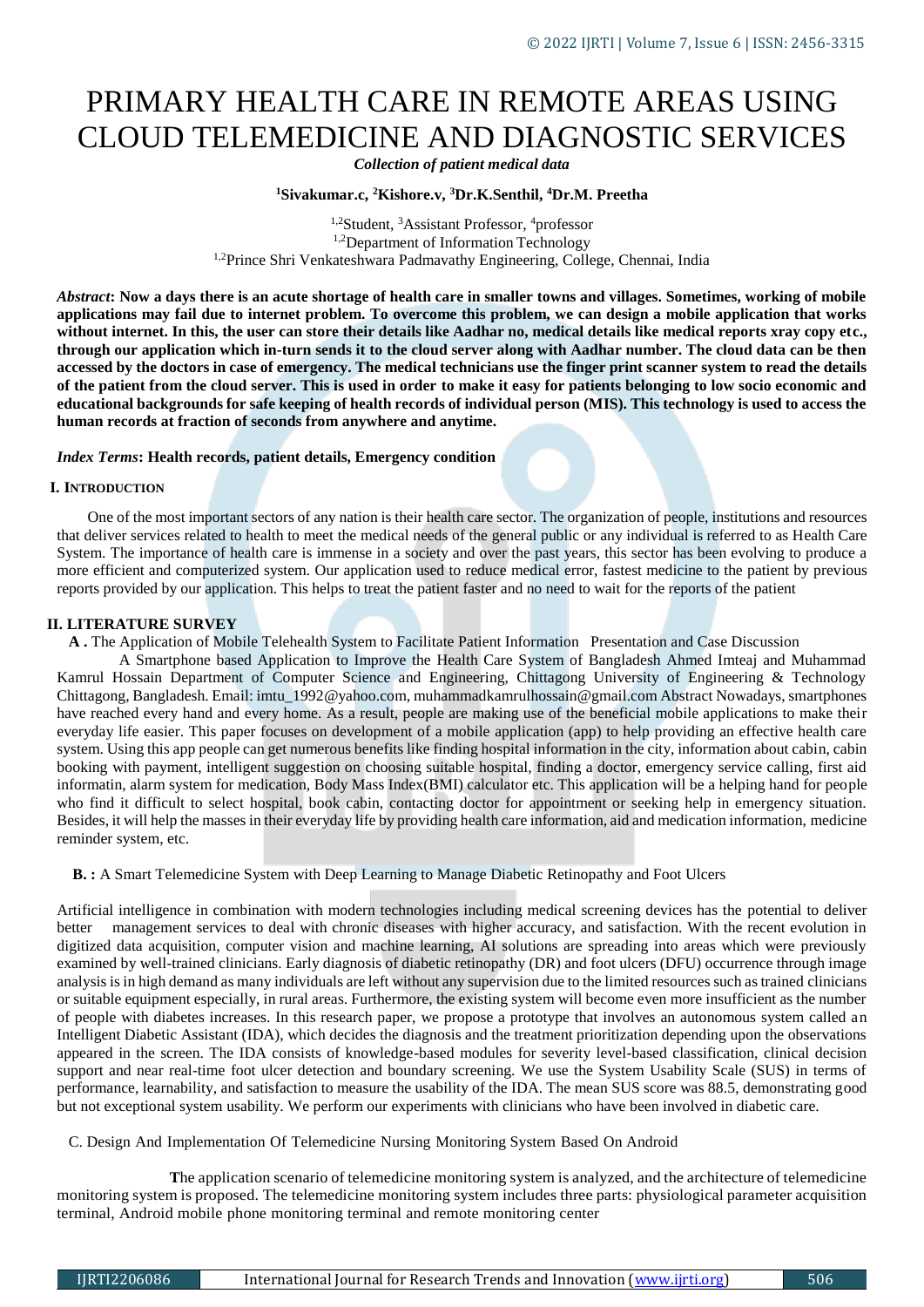# PRIMARY HEALTH CARE IN REMOTE AREAS USING CLOUD TELEMEDICINE AND DIAGNOSTIC SERVICES

*Collection of patient medical data* 

# **<sup>1</sup>Sivakumar.c, <sup>2</sup>Kishore.v, <sup>3</sup>Dr.K.Senthil, <sup>4</sup>Dr.M. Preetha**

<sup>1,2</sup>Student, <sup>3</sup>Assistant Professor, <sup>4</sup>professor 1,2Department of Information Technology <sup>1,2</sup>Prince Shri Venkateshwara Padmavathy Engineering, College, Chennai, India

*Abstract***: Now a days there is an acute shortage of health care in smaller towns and villages. Sometimes, working of mobile applications may fail due to internet problem. To overcome this problem, we can design a mobile application that works without internet. In this, the user can store their details like Aadhar no, medical details like medical reports xray copy etc., through our application which in-turn sends it to the cloud server along with Aadhar number. The cloud data can be then accessed by the doctors in case of emergency. The medical technicians use the finger print scanner system to read the details of the patient from the cloud server. This is used in order to make it easy for patients belonging to low socio economic and educational backgrounds for safe keeping of health records of individual person (MIS). This technology is used to access the human records at fraction of seconds from anywhere and anytime.**

# *Index Terms***: Health records, patient details, Emergency condition**

# **I. INTRODUCTION**

One of the most important sectors of any nation is their health care sector. The organization of people, institutions and resources that deliver services related to health to meet the medical needs of the general public or any individual is referred to as Health Care System. The importance of health care is immense in a society and over the past years, this sector has been evolving to produce a more efficient and computerized system. Our application used to reduce medical error, fastest medicine to the patient by previous reports provided by our application. This helps to treat the patient faster and no need to wait for the reports of the patient

#### **II. LITERATURE SURVEY**

 **A .** The Application of Mobile Telehealth System to Facilitate Patient Information Presentation and Case Discussion

A Smartphone based Application to Improve the Health Care System of Bangladesh Ahmed Imteaj and Muhammad Kamrul Hossain Department of Computer Science and Engineering, Chittagong University of Engineering & Technology Chittagong, Bangladesh. Email: imtu\_1992@yahoo.com, muhammadkamrulhossain@gmail.com Abstract Nowadays, smartphones have reached every hand and every home. As a result, people are making use of the beneficial mobile applications to make their everyday life easier. This paper focuses on development of a mobile application (app) to help providing an effective health care system. Using this app people can get numerous benefits like finding hospital information in the city, information about cabin, cabin booking with payment, intelligent suggestion on choosing suitable hospital, finding a doctor, emergency service calling, first aid informatin, alarm system for medication, Body Mass Index(BMI) calculator etc. This application will be a helping hand for people who find it difficult to select hospital, book cabin, contacting doctor for appointment or seeking help in emergency situation. Besides, it will help the masses in their everyday life by providing health care information, aid and medication information, medicine reminder system, etc.

 **B. :** A Smart Telemedicine System with Deep Learning to Manage Diabetic Retinopathy and Foot Ulcers

Artificial intelligence in combination with modern technologies including medical screening devices has the potential to deliver management services to deal with chronic diseases with higher accuracy, and satisfaction. With the recent evolution in digitized data acquisition, computer vision and machine learning, AI solutions are spreading into areas which were previously examined by well-trained clinicians. Early diagnosis of diabetic retinopathy (DR) and foot ulcers (DFU) occurrence through image analysis is in high demand as many individuals are left without any supervision due to the limited resources such as trained clinicians or suitable equipment especially, in rural areas. Furthermore, the existing system will become even more insufficient as the number of people with diabetes increases. In this research paper, we propose a prototype that involves an autonomous system called an Intelligent Diabetic Assistant (IDA), which decides the diagnosis and the treatment prioritization depending upon the observations appeared in the screen. The IDA consists of knowledge-based modules for severity level-based classification, clinical decision support and near real-time foot ulcer detection and boundary screening. We use the System Usability Scale (SUS) in terms of performance, learnability, and satisfaction to measure the usability of the IDA. The mean SUS score was 88.5, demonstrating good but not exceptional system usability. We perform our experiments with clinicians who have been involved in diabetic care.

# C. Design And Implementation Of Telemedicine Nursing Monitoring System Based On Android

 **T**he application scenario of telemedicine monitoring system is analyzed, and the architecture of telemedicine monitoring system is proposed. The telemedicine monitoring system includes three parts: physiological parameter acquisition terminal, Android mobile phone monitoring terminal and remote monitoring center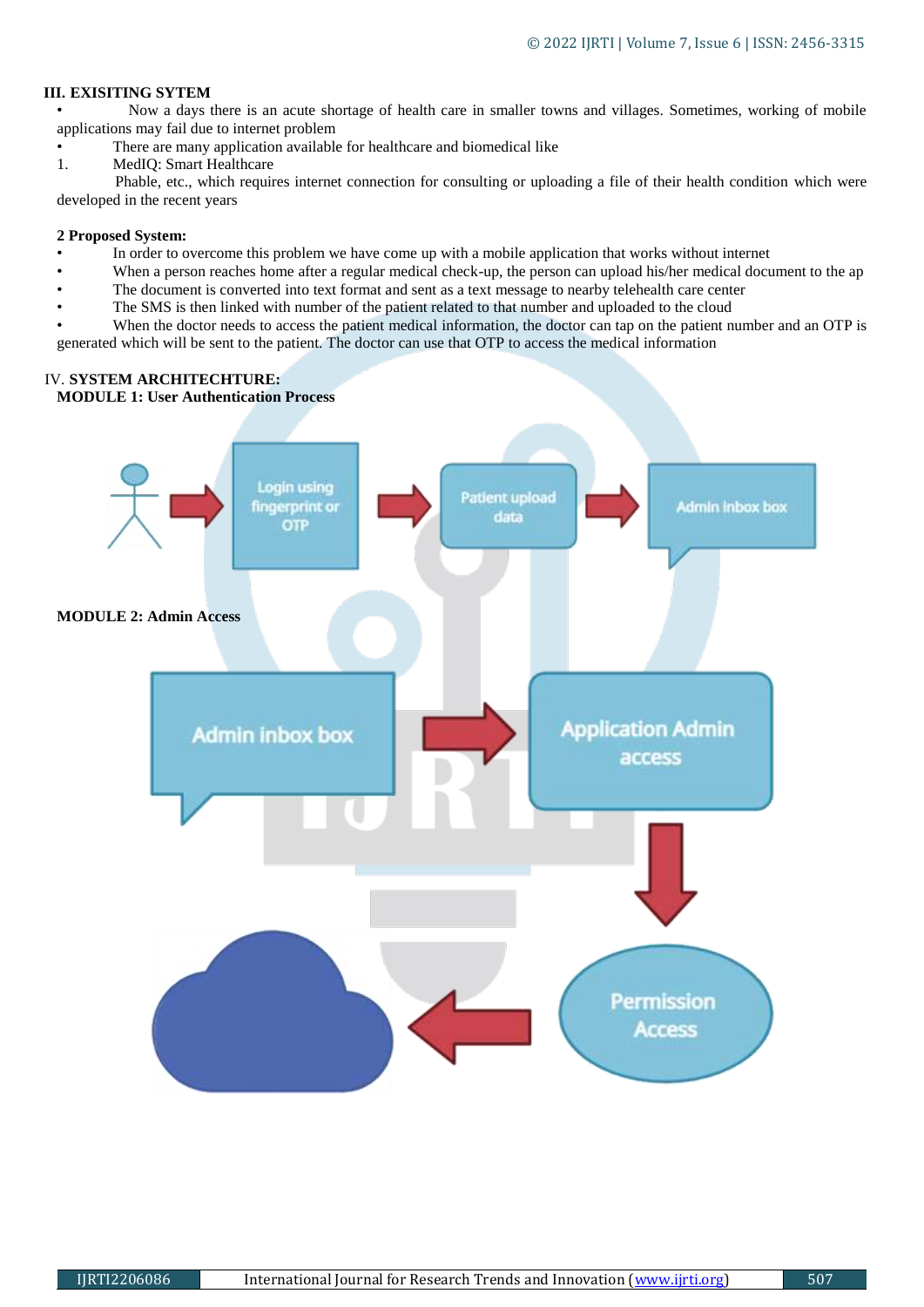# **III. EXISITING SYTEM**

•Now a days there is an acute shortage of health care in smaller towns and villages. Sometimes, working of mobile applications may fail due to internet problem

There are many application available for healthcare and biomedical like

1. MedIQ: Smart Healthcare

 Phable, etc., which requires internet connection for consulting or uploading a file of their health condition which were developed in the recent years

# **2 Proposed System:**

- In order to overcome this problem we have come up with a mobile application that works without internet
- When a person reaches home after a regular medical check-up, the person can upload his/her medical document to the ap
- The document is converted into text format and sent as a text message to nearby telehealth care center
- The SMS is then linked with number of the patient related to that number and uploaded to the cloud

When the doctor needs to access the patient medical information, the doctor can tap on the patient number and an OTP is generated which will be sent to the patient. The doctor can use that OTP to access the medical information

# IV. **SYSTEM ARCHITECHTURE:**

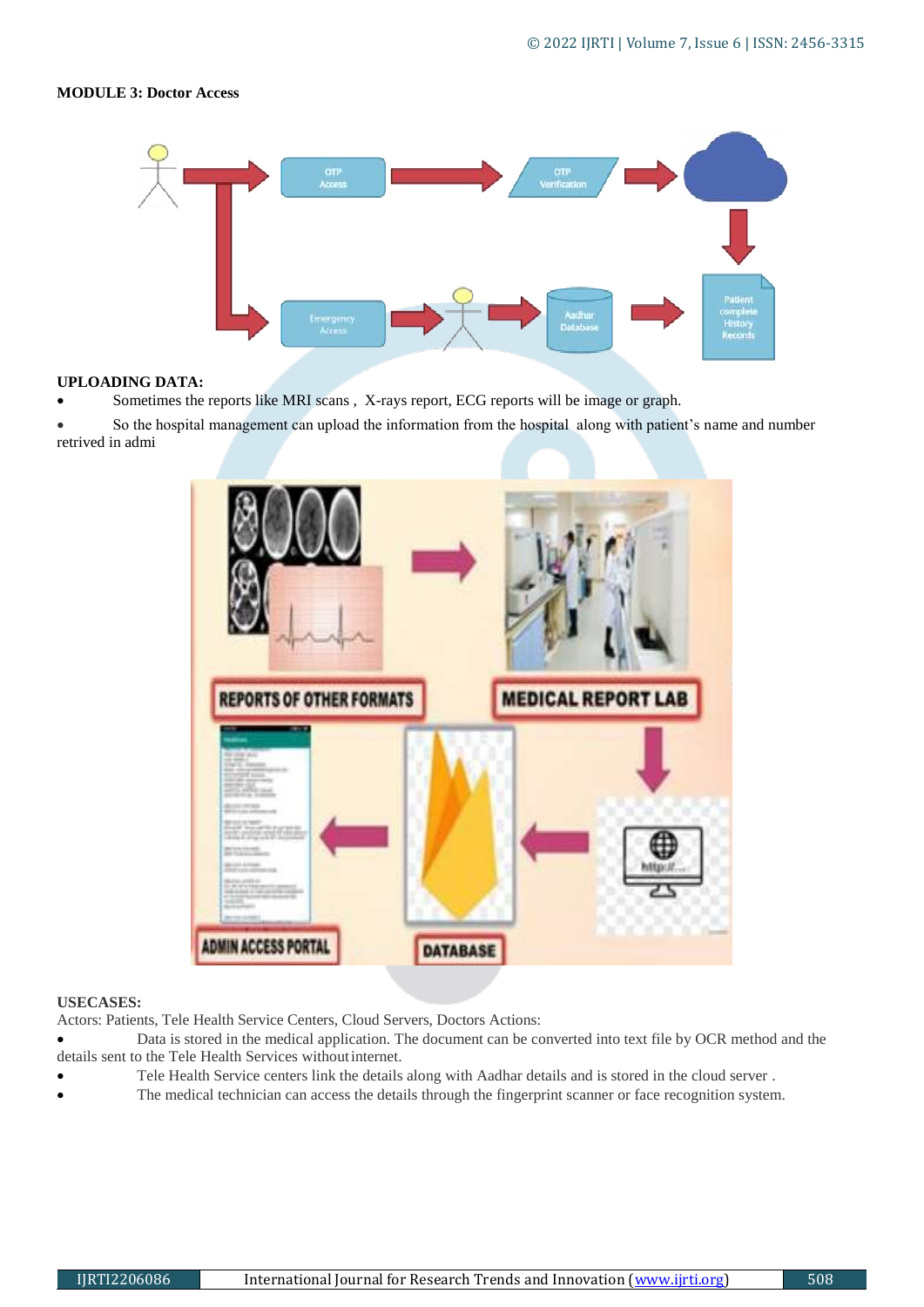# **MODULE 3: Doctor Access**



# **UPLOADING DATA:**

- Sometimes the reports like MRI scans , X-rays report, ECG reports will be image or graph.
- So the hospital management can upload the information from the hospital along with patient's name and number retrived in admi



#### **USECASES:**

Actors: Patients, Tele Health Service Centers, Cloud Servers, Doctors Actions:

- Data is stored in the medical application. The document can be converted into text file by OCR method and the details sent to the Tele Health Services withoutinternet.
- Tele Health Service centers link the details along with Aadhar details and is stored in the cloud server .
- The medical technician can access the details through the fingerprint scanner or face recognition system.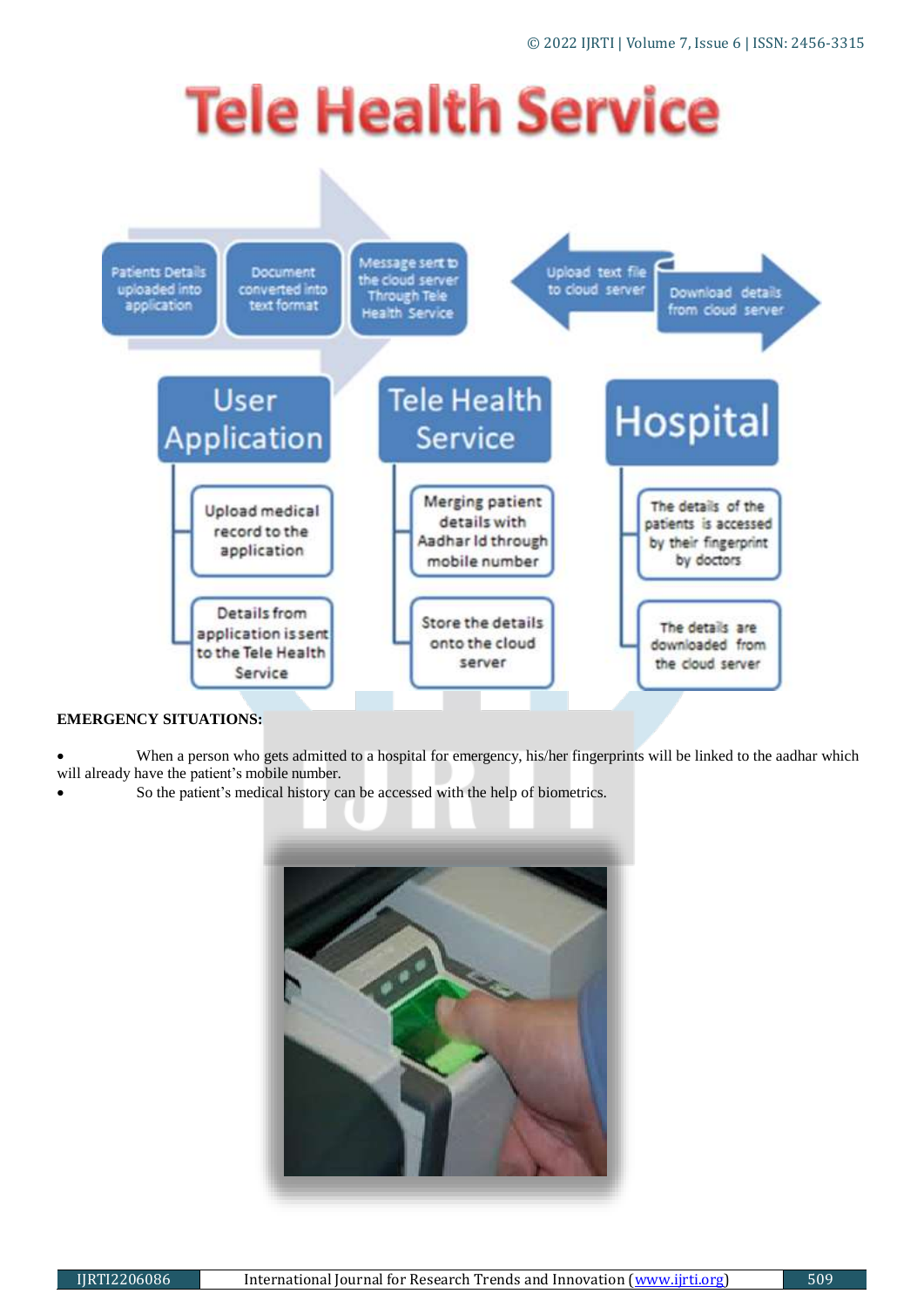# **Tele Health Service**



# **EMERGENCY SITUATIONS:**

 When a person who gets admitted to a hospital for emergency, his/her fingerprints will be linked to the aadhar which will already have the patient's mobile number.

So the patient's medical history can be accessed with the help of biometrics.

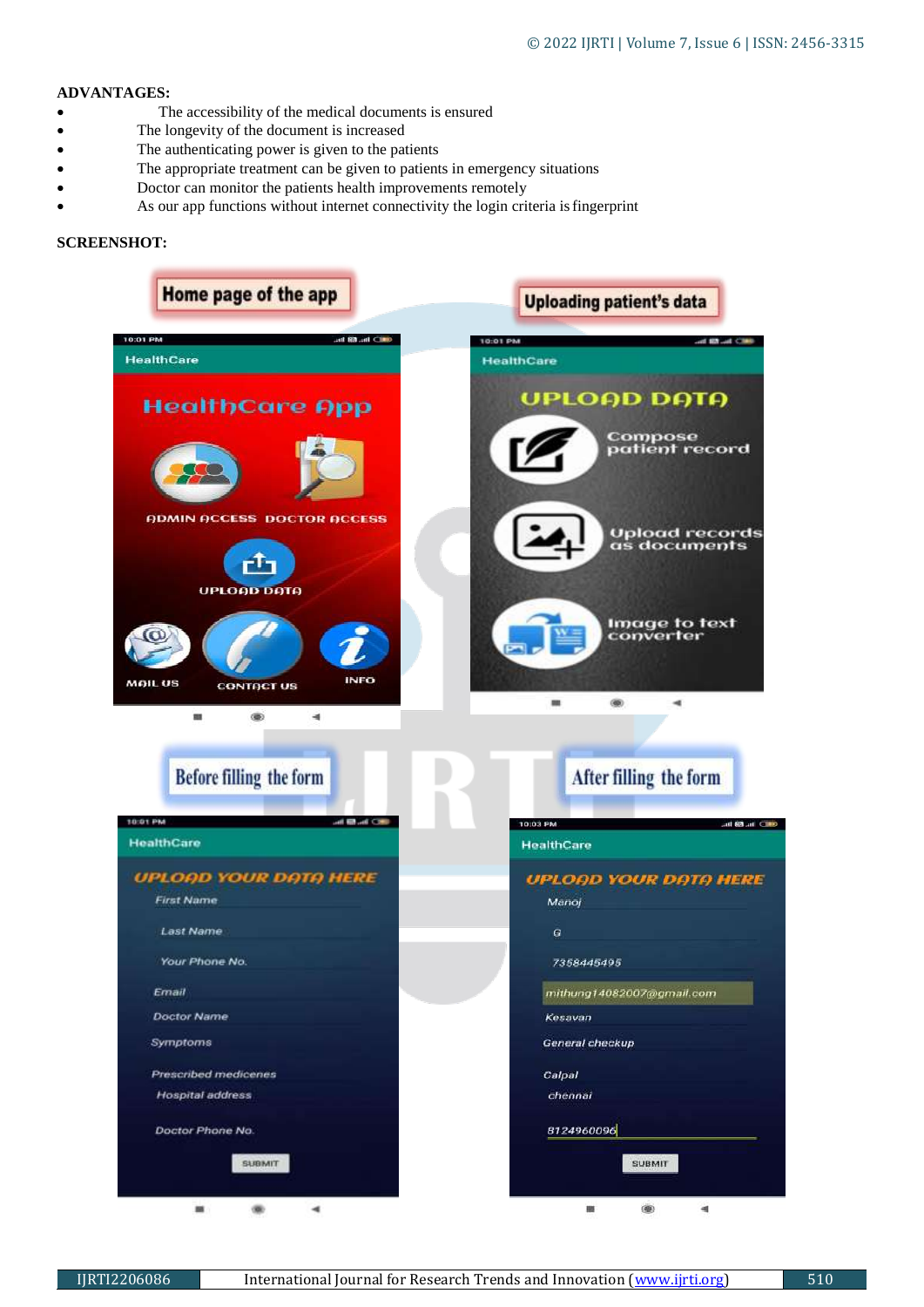# **ADVANTAGES:**

- The accessibility of the medical documents is ensured
- The longevity of the document is increased
- The authenticating power is given to the patients
- The appropriate treatment can be given to patients in emergency situations
- Doctor can monitor the patients health improvements remotely
- As our app functions without internet connectivity the login criteria isfingerprint

# **SCREENSHOT:**

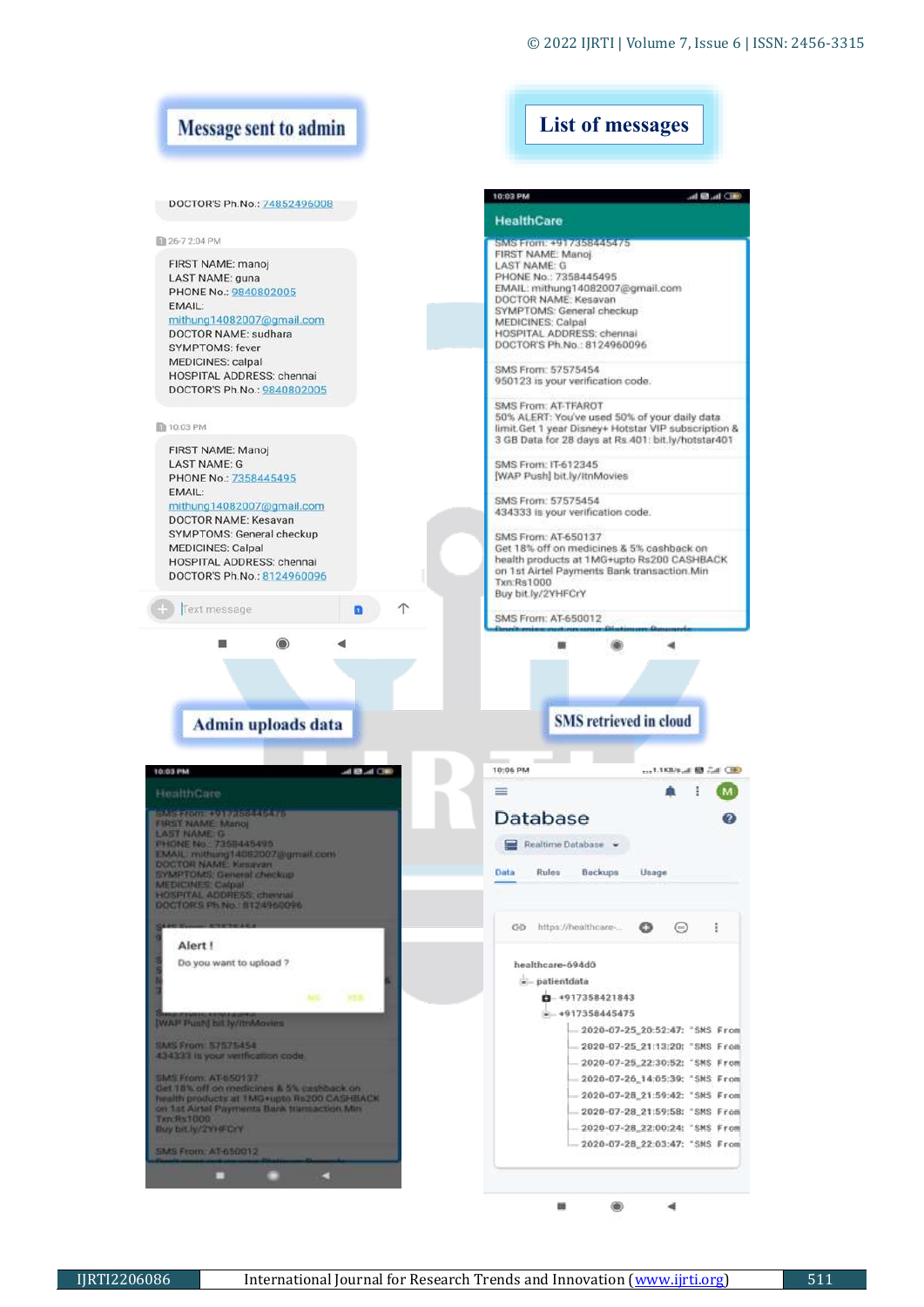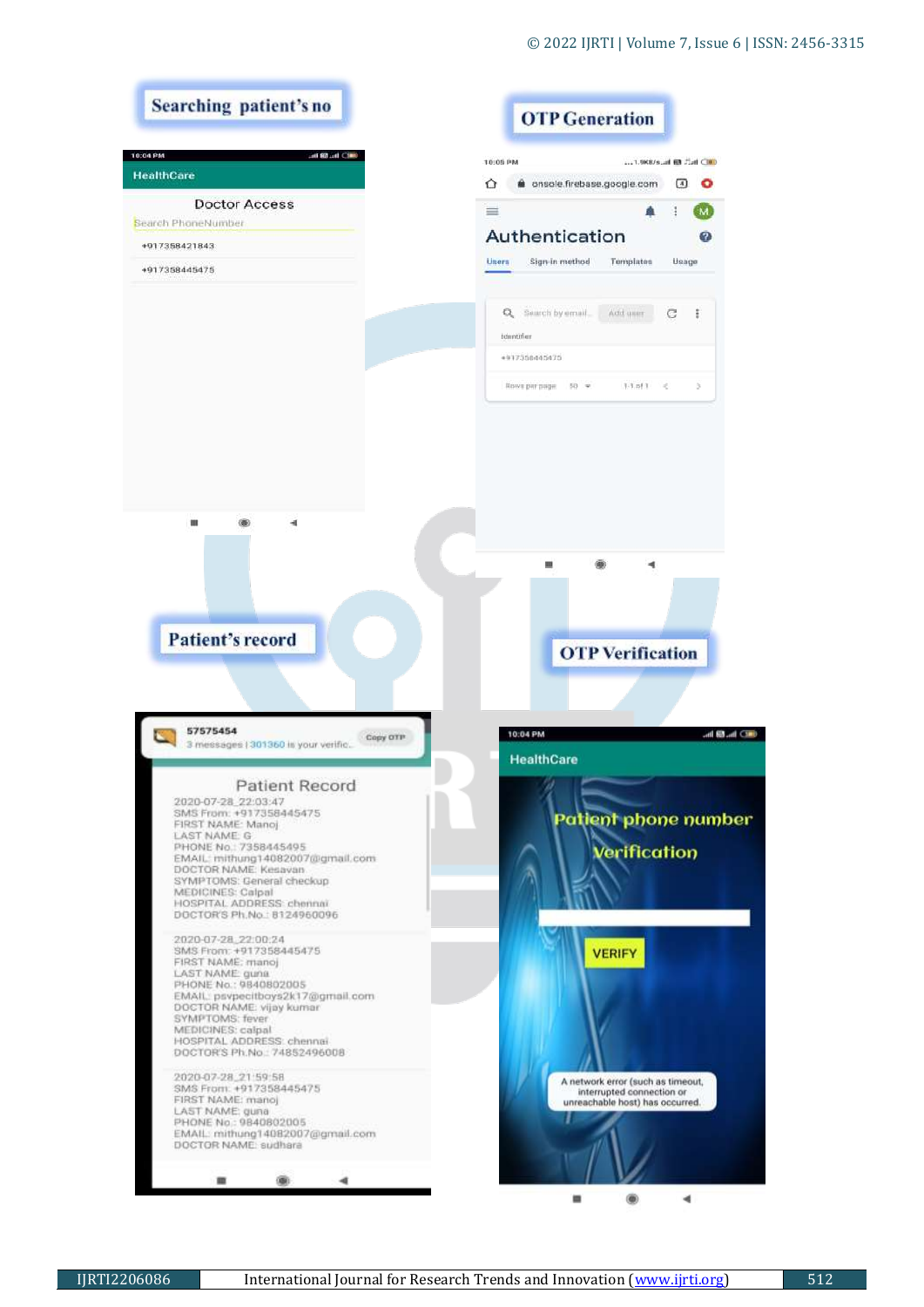